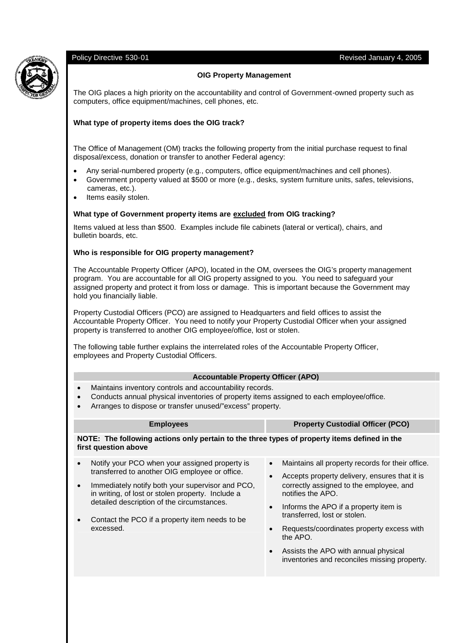### Policy Directive 530-01 Revised January 4, 2005



# **OIG Property Management**

The OIG places a high priority on the accountability and control of Government-owned property such as computers, office equipment/machines, cell phones, etc.

# **What type of property items does the OIG track?**

The Office of Management (OM) tracks the following property from the initial purchase request to final disposal/excess, donation or transfer to another Federal agency:

- Any serial-numbered property (e.g., computers, office equipment/machines and cell phones).
- Government property valued at \$500 or more (e.g., desks, system furniture units, safes, televisions, cameras, etc.).
- Items easily stolen.

### **What type of Government property items are excluded from OIG tracking?**

Items valued at less than \$500. Examples include file cabinets (lateral or vertical), chairs, and bulletin boards, etc.

#### **Who is responsible for OIG property management?**

The Accountable Property Officer (APO), located in the OM, oversees the OIG's property management program. You are accountable for all OIG property assigned to you. You need to safeguard your assigned property and protect it from loss or damage. This is important because the Government may hold you financially liable.

Property Custodial Officers (PCO) are assigned to Headquarters and field offices to assist the Accountable Property Officer. You need to notify your Property Custodial Officer when your assigned property is transferred to another OIG employee/office, lost or stolen.

The following table further explains the interrelated roles of the Accountable Property Officer, employees and Property Custodial Officers.

# **Accountable Property Officer (APO)**

- Maintains inventory controls and accountability records.
- Conducts annual physical inventories of property items assigned to each employee/office.
- Arranges to dispose or transfer unused/"excess" property.

| <b>Employees</b>                                                                                                     |                                                                                                                                                     |                        | <b>Property Custodial Officer (PCO)</b>                                                           |  |  |  |  |  |  |
|----------------------------------------------------------------------------------------------------------------------|-----------------------------------------------------------------------------------------------------------------------------------------------------|------------------------|---------------------------------------------------------------------------------------------------|--|--|--|--|--|--|
| NOTE: The following actions only pertain to the three types of property items defined in the<br>first question above |                                                                                                                                                     |                        |                                                                                                   |  |  |  |  |  |  |
| $\bullet$                                                                                                            | Notify your PCO when your assigned property is<br>transferred to another OIG employee or office.                                                    | $\bullet$<br>$\bullet$ | Maintains all property records for their office.<br>Accepts property delivery, ensures that it is |  |  |  |  |  |  |
| $\bullet$                                                                                                            | Immediately notify both your supervisor and PCO,<br>in writing, of lost or stolen property. Include a<br>detailed description of the circumstances. |                        | correctly assigned to the employee, and<br>notifies the APO.                                      |  |  |  |  |  |  |

- Contact the PCO if a property item needs to be excessed.
- Informs the APO if a property item is transferred, lost or stolen.
- Requests/coordinates property excess with the APO.
- Assists the APO with annual physical inventories and reconciles missing property.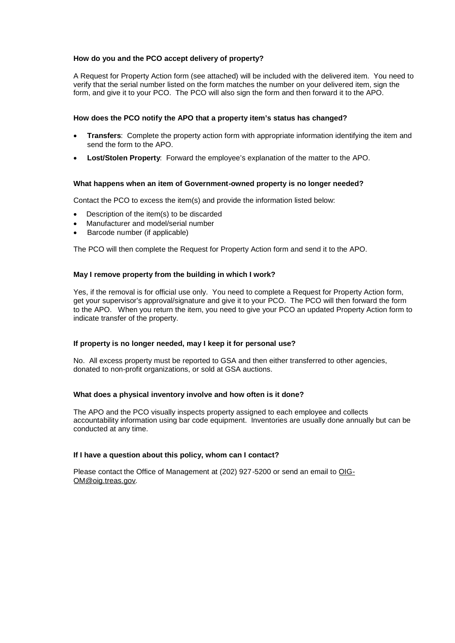# **How do you and the PCO accept delivery of property?**

A Request for Property Action form (see attached) will be included with the delivered item. You need to verify that the serial number listed on the form matches the number on your delivered item, sign the form, and give it to your PCO. The PCO will also sign the form and then forward it to the APO.

# **How does the PCO notify the APO that a property item's status has changed?**

- **Transfers**: Complete the property action form with appropriate information identifying the item and send the form to the APO.
- **Lost/Stolen Property**: Forward the employee's explanation of the matter to the APO.

# **What happens when an item of Government-owned property is no longer needed?**

Contact the PCO to excess the item(s) and provide the information listed below:

- Description of the item(s) to be discarded
- Manufacturer and model/serial number
- Barcode number (if applicable)

The PCO will then complete the Request for Property Action form and send it to the APO.

# **May I remove property from the building in which I work?**

Yes, if the removal is for official use only. You need to complete a Request for Property Action form, get your supervisor's approval/signature and give it to your PCO. The PCO will then forward the form to the APO. When you return the item, you need to give your PCO an updated Property Action form to indicate transfer of the property.

# **If property is no longer needed, may I keep it for personal use?**

No. All excess property must be reported to GSA and then either transferred to other agencies, donated to non-profit organizations, or sold at GSA auctions.

# **What does a physical inventory involve and how often is it done?**

The APO and the PCO visually inspects property assigned to each employee and collects accountability information using bar code equipment. Inventories are usually done annually but can be conducted at any time.

# **If I have a question about this policy, whom can I contact?**

Please contact the Office of Management at (202) 927-5200 or send an email to OIG-OM@oig.treas.gov.